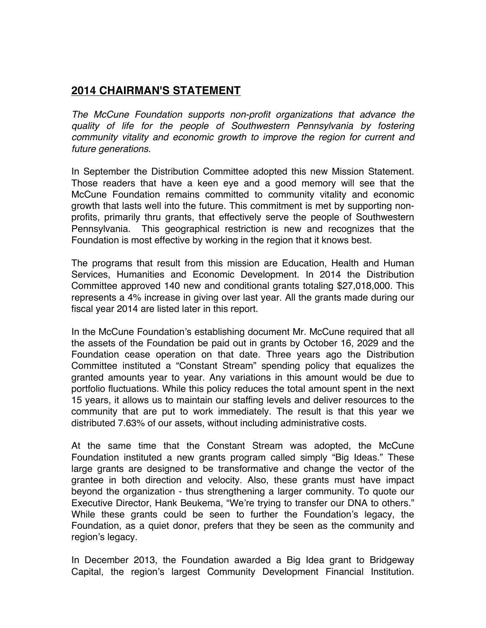## **2014 CHAIRMAN'S STATEMENT**

*The McCune Foundation supports non-profit organizations that advance the quality of life for the people of Southwestern Pennsylvania by fostering community vitality and economic growth to improve the region for current and future generations.*

In September the Distribution Committee adopted this new Mission Statement. Those readers that have a keen eye and a good memory will see that the McCune Foundation remains committed to community vitality and economic growth that lasts well into the future. This commitment is met by supporting nonprofits, primarily thru grants, that effectively serve the people of Southwestern Pennsylvania. This geographical restriction is new and recognizes that the Foundation is most effective by working in the region that it knows best.

The programs that result from this mission are Education, Health and Human Services, Humanities and Economic Development. In 2014 the Distribution Committee approved 140 new and conditional grants totaling \$27,018,000. This represents a 4% increase in giving over last year. All the grants made during our fiscal year 2014 are listed later in this report.

In the McCune Foundation's establishing document Mr. McCune required that all the assets of the Foundation be paid out in grants by October 16, 2029 and the Foundation cease operation on that date. Three years ago the Distribution Committee instituted a "Constant Stream" spending policy that equalizes the granted amounts year to year. Any variations in this amount would be due to portfolio fluctuations. While this policy reduces the total amount spent in the next 15 years, it allows us to maintain our staffing levels and deliver resources to the community that are put to work immediately. The result is that this year we distributed 7.63% of our assets, without including administrative costs.

At the same time that the Constant Stream was adopted, the McCune Foundation instituted a new grants program called simply "Big Ideas." These large grants are designed to be transformative and change the vector of the grantee in both direction and velocity. Also, these grants must have impact beyond the organization - thus strengthening a larger community. To quote our Executive Director, Hank Beukema, "We're trying to transfer our DNA to others." While these grants could be seen to further the Foundation's legacy, the Foundation, as a quiet donor, prefers that they be seen as the community and region's legacy.

In December 2013, the Foundation awarded a Big Idea grant to Bridgeway Capital, the region's largest Community Development Financial Institution.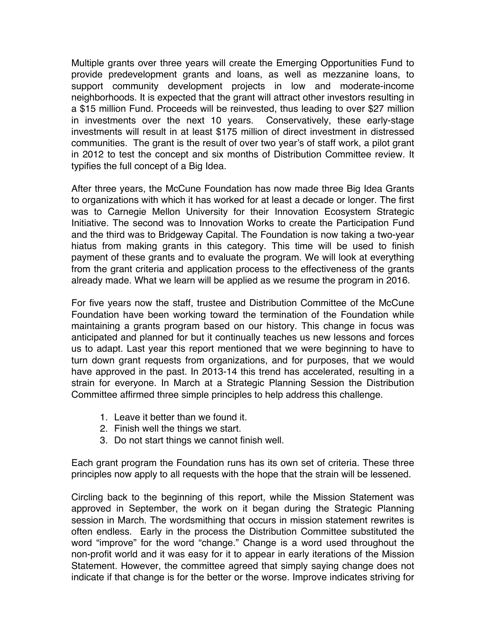Multiple grants over three years will create the Emerging Opportunities Fund to provide predevelopment grants and loans, as well as mezzanine loans, to support community development projects in low and moderate-income neighborhoods. It is expected that the grant will attract other investors resulting in a \$15 million Fund. Proceeds will be reinvested, thus leading to over \$27 million in investments over the next 10 years. Conservatively, these early-stage investments will result in at least \$175 million of direct investment in distressed communities. The grant is the result of over two year's of staff work, a pilot grant in 2012 to test the concept and six months of Distribution Committee review. It typifies the full concept of a Big Idea.

After three years, the McCune Foundation has now made three Big Idea Grants to organizations with which it has worked for at least a decade or longer. The first was to Carnegie Mellon University for their Innovation Ecosystem Strategic Initiative. The second was to Innovation Works to create the Participation Fund and the third was to Bridgeway Capital. The Foundation is now taking a two-year hiatus from making grants in this category. This time will be used to finish payment of these grants and to evaluate the program. We will look at everything from the grant criteria and application process to the effectiveness of the grants already made. What we learn will be applied as we resume the program in 2016.

For five years now the staff, trustee and Distribution Committee of the McCune Foundation have been working toward the termination of the Foundation while maintaining a grants program based on our history. This change in focus was anticipated and planned for but it continually teaches us new lessons and forces us to adapt. Last year this report mentioned that we were beginning to have to turn down grant requests from organizations, and for purposes, that we would have approved in the past. In 2013-14 this trend has accelerated, resulting in a strain for everyone. In March at a Strategic Planning Session the Distribution Committee affirmed three simple principles to help address this challenge.

- 1. Leave it better than we found it.
- 2. Finish well the things we start.
- 3. Do not start things we cannot finish well.

Each grant program the Foundation runs has its own set of criteria. These three principles now apply to all requests with the hope that the strain will be lessened.

Circling back to the beginning of this report, while the Mission Statement was approved in September, the work on it began during the Strategic Planning session in March. The wordsmithing that occurs in mission statement rewrites is often endless. Early in the process the Distribution Committee substituted the word "improve" for the word "change." Change is a word used throughout the non-profit world and it was easy for it to appear in early iterations of the Mission Statement. However, the committee agreed that simply saying change does not indicate if that change is for the better or the worse. Improve indicates striving for